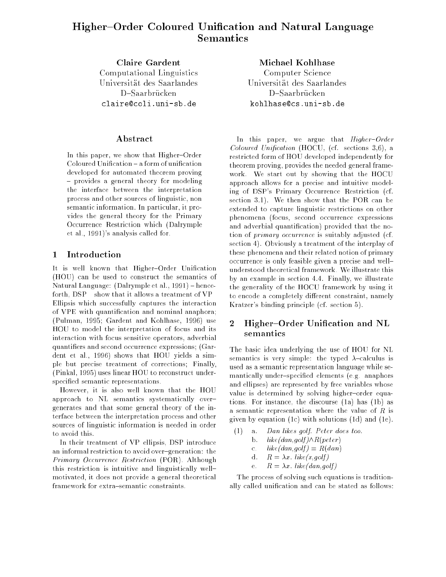# Higher{Order Coloured Unication and Natural Language Semantics

Claire Gardent Computed Computer Linguistics Universität des Saarlandes claire@coli.uni-sb.de

In this paper, we show that Higher-Order Coloured Unification - a form of unification developed for automated theorem proving - provides a general theory for modeling the interface between the interpretation process and other sources of linguistic, non semantic information. In particular, it provides the general theory for the Primary Occurrence Restriction which (Dalrymple et al., 1991)'s analysis called for.

#### $\mathbf{1}$ **Introduction**

It is well known that Higher-Order Unification (HOU) can be used to construct the semantics of Natural Language: (Dalrymple et al., 1991) - henceforth,  $\text{DSP}$  – show that it allows a treatment of VP-Ellipsis which successfully captures the interaction of VPE with quantication and nominal anaphora; (Pulman, 1995; Gardent and Kohlhase, 1996) use HOU to model the interpretation of focus and its interaction with focus sensitive operators, adverbial quantiers and second occurrence expressions; (Gardent et al., 1996) shows that HOU yields a simple but precise treatment of corrections; Finally, (Pinkal, 1995) uses linear HOU to reconstruct underspecified semantic representations.

However, it is also well known that the HOU approach to NL semantics systematically over{ generates and that some general theory of the interface between the interpretation process and other sources of linguistic information is needed in order to avoid this.

In their treatment of VP-ellipsis, DSP introduce an informal restriction to avoid over-generation: the Primary Occurrence Restriction (POR). Although this restriction is intuitive and linguistically well{ motivated, it does not provide a general theoretical framework for extra-semantic constraints.

Michael Kohlhase Computer Science Universität des Saarlandes kohlhase@cs.uni-sb.de

In this paper, we argue that  $Higher-Order$ Coloured Unification (HOCU, (cf. sections 3,6), a restricted form of HOU developed independently for theorem proving, provides the needed general framework. We start out by showing that the HOCU approach allows for a precise and intuitive modeling of DSP's Primary Occurrence Restriction (cf. section 3.1). We then show that the POR can be extended to capture linguistic restrictions on other phenomena (focus, second occurrence expressions and adverbial quantication) provided that the notion of primary occurrence is suitably adjusted (cf. section 4). Obviously a treatment of the interplay of these phenomena and their related notion of primary occurrence is only feasible given a precise and well{ understood theoretical framework. We illustrate this by an example in section 4.4. Finally, we illustrate the generality of the HOCU framework by using it to encode a completely different constraint, namely Kratzer's binding principle (cf. section 5).

## 2 Higher-Order Unification and NL semantics

The basic idea underlying the use of HOU for NL semantics is very simple: the typed  $\lambda$ -calculus is used as a semantic representation language while semantically under-specified elements (e.g. anaphors and ellipses) are represented by free variables whose value is determined by solving higher-order equations. For instance, the discourse (1a) has (1b) as a semantic representation where the value of  $R$  is given by equation (1c) with solutions (1d) and (1e).

| (1) |             | a. Dan likes golf. Peter does too.   |
|-----|-------------|--------------------------------------|
|     |             | b. $like(dan, golf) \wedge R(peter)$ |
|     | $c_{\rm}$   | $like(dan, golf) = R(dan)$           |
|     |             | d. $R = \lambda x$ . like(x,golf)    |
|     | $e_{\rm r}$ | $R = \lambda x$ . like(dan,golf)     |
|     |             |                                      |

The process of solving such equations is traditionally called unication and can be stated as follows: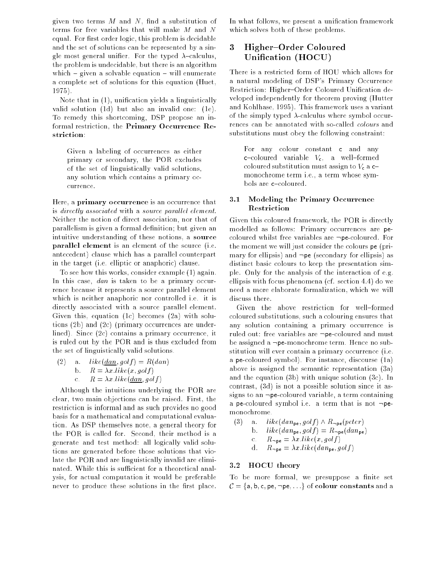given two terms  $M$  and  $N$ , find a substitution of terms for free variables that will make M and N equal. For first order logic, this problem is decidable and the set of solutions can be represented by a single most general unifier. For the typed  $\lambda$ -calculus, the problem is undecidable, but there is an algorithm which  $=$  given a solvable equation  $=$  will enumerate a complete set of solutions for this equation (Huet, 1975).

Note that in  $(1)$ , unification yields a linguistically valid solution (1d) but also an invalid one: (1e). To remedy this shortcoming, DSP propose an informal restriction, the Primary Occurrence Restriction:

Given a labeling of occurrences as either primary or secondary, the POR excludes of the set of linguistically valid solutions, any solution which contains a primary occurrence.

Here, a primary occurrence is an occurrence that is directly associated with a source parallel element. Neither the notion of direct association, nor that of parallelism is given a formal definition; but given an intuitive understanding of these notions, a source parallel element is an element of the source (i.e. antecedent) clause which has a parallel counterpart in the target (i.e. elliptic or anaphoric) clause.

To see how this works, consider example (1) again. In this case, dan is taken to be a primary occurrence because it represents a source parallel element which is neither anaphoric nor controlled i.e. it is directly associated with a source parallel element. Given this, equation (1c) becomes (2a) with solutions (2b) and (2c) (primary occurrences are underlined). Since (2c) contains a primary occurrence, it is ruled out by the POR and is thus excluded from the set of linguistically valid solutions.

(2) a.  $like(dan, golf) = R(dan)$ b.  $R = \lambda x \, like(x, golf)$ c.  $R = \lambda x. like(\underline{dan}, golf)$ 

Although the intuitions underlying the POR are clear, two main objections can be raised. First, the restriction is informal and as such provides no good basis for a mathematical and computational evaluation. As DSP themselves note, a general theory for the POR is called for. Second, their method is a generate-and-test method: all logically valid solutions are generated before those solutions that violate the POR and are linguistically invalid are eliminated. While this is sufficient for a theoretical analysis, for actual computation it would be preferable never to produce these solutions in the first place. In what follows, we present a unification framework which solves both of these problems.

# 3 Higher-Order Coloured Unication (HOCU)

There is a restricted form of HOU which allows for a natural modeling of DSP's Primary Occurrence Restriction: Higher-Order Coloured Unification developed independently for theorem proving (Hutter and Kohlhase, 1995). This framework uses a variant of the simply typed  $\lambda$ -calculus where symbol occurrences can be annotated with so-called colours and substitutions must obey the following constraint:

For any colour constant c and any c-coloured variable  $V_c$ , a well-formed coloured substitution must assign to  $V_c$  a  $c$ monochrome term i.e., a term whose symbols are c-coloured.

#### 3.1 Modeling the Primary Occurrence Restriction

Given this coloured framework, the POR is directly modelled as follows: Primary occurrences are pecoloured whilst free variables are  $\neg$ pe-coloured. For the moment we will just consider the colours pe (primary for ellipsis) and  $\neg$ pe (secondary for ellipsis) as distinct basic colours to keep the presentation simple. Only for the analysis of the interaction of e.g. ellipsis with focus phenomena (cf. section 4.4) do we need a more elaborate formalization, which we will discuss there.

Given the above restriction for well-formed coloured substitutions, such a colouring ensures that any solution containing a primary occurrence is ruled out: free variables are  $\neg$ pe-coloured and must be assigned a  $\neg$ pe-monochrome term. Hence no substitution will ever contain a primary occurrence (i.e. a pe-coloured symbol). For instance, discourse (1a) above is assigned the semantic representation (3a) and the equation (3b) with unique solution (3c). In contrast, (3d) is not a possible solution since it assigns to an  $\neg$ pe-coloured variable, a term containing a pe-coloured symbol i.e. a term that is not  $\neg$  pemonochrome.

(3) a. like  $(dan_{pe}, golf) \wedge R_{\neg pe}(peter)$ b.  $like(dan_{pe}, golf) = R_{\neg pe}(dan_{pe})$ c.  $R_{\neg \text{pe}} = \lambda x \text{ like}(x, golf)$ d.  $R_{\text{-pe}} = \lambda x \cdot like(dan_{\text{pe}}, golf)$ 

## 3.2 HOCU theory

To be more formal, we presuppose a finite set  $\mathcal{C} = \{\textsf{a}, \textsf{b}, \textsf{c}, \textsf{pe}, \neg \textsf{pe}, \ldots\}$  of  $\textbf{colour constants}$  and a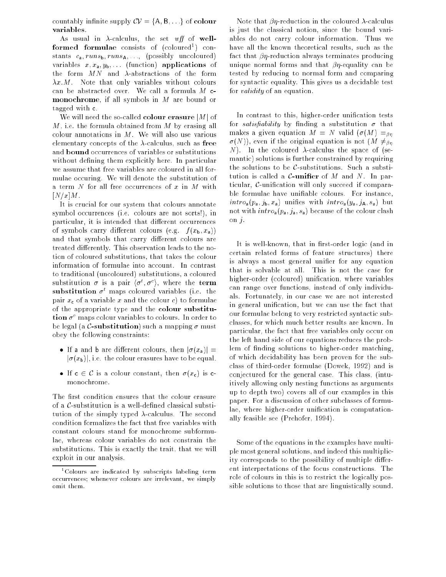countably infinite supply  $CV = \{A, B, \ldots\}$  of colour variables.

As usual in  $\lambda$ -calculus, the set wff of wellformed formulae consists of (coloured1 ) constants  $c_a$ ,  $runs_b$ ,  $runs_A$ , ..., (possibly uncoloured) variables  $x, x_a, y_b, \ldots$  (function) applications of the form  $MN$  and  $\lambda$ -abstractions of the form  $\lambda x.M$ . Note that only variables without colours can be abstracted over. We call a formula  $M$  cmonochrome, if all symbols in M are bound or tagged with c.

We will need the so-called colour erasure  $|M|$  of  $M$ , i.e. the formula obtained from  $M$  by erasing all colour annotations in  $M$ . We will also use various elementary concepts of the  $\lambda$ -calculus, such as free and bound occurrences of variables or substitutions without defining them explicitly here. In particular we assume that free variables are coloured in all formulae occuring. We will denote the substitution of a term  $N$  for all free occurrences of  $x$  in  $M$  with  $[N/x]M$ .

It is crucial for our system that colours annotate symbol occurrences (i.e. colours are not sorts!), in particular, it is intended that different occurrences of symbols carry different colours (e.g.  $f(x_b, x_a)$ ) and that symbols that carry different colours are treated differently. This observation leads to the notion of coloured substitutions, that takes the colour information of formulae into account. In contrast to traditional (uncoloured) substitutions, a coloured substitution  $\sigma$  is a pair  $\langle \sigma^*, \sigma^* \rangle$ , where the term substitution  $\sigma^t$  maps coloured variables (i.e. the pair  $x_c$  of a variable x and the colour c) to formulae of the appropriate type and the colour substitution  $\sigma^c$  maps colour variables to colours. In order to be legal (a  $\mathcal{C}\text{-substitution}$ ) such a mapping  $\sigma$  must obey the following constraints:

- If a and b are different colours, then  $|\sigma(x_a)| =$  $|\sigma(x_{\rm b})|$ , i.e. the colour erasures have to be equal.
- $\bullet$  If c  $\in$  C is a colour constant, then  $\sigma(x_c)$  is cmonochrome.

The first condition ensures that the colour erasure of a  $\mathcal{C}$ -substitution is a well-defined classical substitution of the simply typed  $\lambda$ -calculus. The second condition formalizes the fact that free variables with constant colours stand for monochrome subformulae, whereas colour variables do not constrain the substitutions. This is exactly the trait, that we will exploit in our analysis.

Note that  $\beta$ *n*-reduction in the coloured  $\lambda$ -calculus is just the classical notion, since the bound variables do not carry colour information. Thus we have all the known theoretical results, such as the fact that  $\beta\eta$ -reduction always terminates producing unique normal forms and that  $\beta\eta$ -equality can be tested by reducing to normal form and comparing for syntactic equality. This gives us a decidable test for validity of an equation.

In contrast to this, higher-order unification tests for *satisfiability* by finding a substitution  $\sigma$  that makes a given equation  $M = N$  valid  $(\sigma(M) =_{\beta\eta}$  $\sigma(N)$ , even if the original equation is not  $(M \neq_{\beta n})$ N). In the coloured  $\lambda$ -calculus the space of (semantic) solutions is further constrained by requiring the solutions to be  $C$ -substitutions. Such a substitution is called a  $C$ -unifier of M and N. In particular,  $C$ -unification will only succeed if comparable formulae have uniable colours. For instance,  $intro_{a}(p_{a}, j_{b}, x_{a})$  unifies with  $intro_{a}(y_{a}, j_{A}, s_{a})$  but not with  $intro_a(p_a, j_a, s_a)$  because of the colour clash on  $j$ .

It is well-known, that in first-order logic (and in certain related forms of feature structures) there is always a most general unifier for any equation that is solvable at all. This is not the case for higher-order (coloured) unification, where variables can range over functions, instead of only individuals. Fortunately, in our case we are not interested in general unication, but we can use the fact that our formulae belong to very restricted syntactic subclasses, for which much better results are known. In particular, the fact that free variables only occur on the left hand side of our equations reduces the problem of finding solutions to higher-order matching, of which decidability has been proven for the subclass of third-order formulae (Dowek, 1992) and is conjectured for the general case. This class, (intuitively allowing only nesting functions as arguments up to depth two) covers all of our examples in this paper. For a discussion of other subclasses of formulae, where higher-order unification is computationally feasible see (Prehofer, 1994).

Some of the equations in the examples have multiple most general solutions, and indeed this multiplicity corresponds to the possibility of multiple different interpretations of the focus constructions. The role of colours in this is to restrict the logically possible solutions to those that are linguistically sound.

<sup>1</sup> Colours are indicated by subscripts labeling term occurrences; whenever colours are irrelevant, we simply omit them.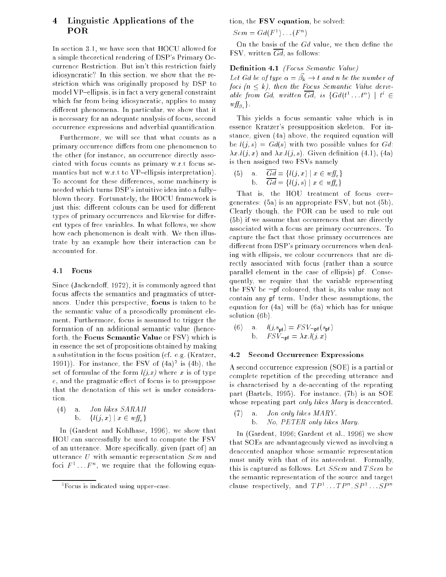## 4 Linguistic Applications of the **POR**

In section 3.1, we have seen that HOCU allowed for a simple theoretical rendering of DSP's Primary Occurrence Restriction. But isn't this restriction fairly idiosyncratic? In this section, we show that the restriction which was originally proposed by DSP to model VP-ellipsis, is in fact a very general constraint which far from being idiosyncratic, applies to many different phenomena. In particular, we show that it is necessary for an adequate analysis of focus, second occurrence expressions and adverbial quantication.

Furthermore, we will see that what counts as a primary occurrence differs from one phenomenon to the other (for instance, an occurrence directly associated with focus counts as primary w.r.t focus semantics but not w.r.t to VP-ellipsis interpretation). To account for these differences, some machinery is needed which turns DSP's intuitive idea into a fully{ blown theory. Fortunately, the HOCU framework is just this: different colours can be used for different types of primary occurrences and likewise for different types of free variables. In what follows, we show how each phenomenon is dealt with. We then illustrate by an example how their interaction can be accounted for.

#### 4.1 Focus

Since (Jackendoff, 1972), it is commonly agreed that focus affects the semantics and pragmatics of utterances. Under this perspective, focus is taken to be the semantic value of a prosodically prominent element. Furthermore, focus is assumed to trigger the formation of an additional semantic value (henceforth, the Focus Semantic Value or FSV) which is in essence the set of propositions obtained by making a substitution in the focus position (cf. e.g. (Kratzer, 1991). For instance, the FSV of  $(4a)^{-1}$  is  $(4b)$ , the set of formulae of the form  $l(j,x)$  where x is of type  $e$ , and the pragmatic effect of focus is to presuppose that the denotation of this set is under consideration.

(4) a. *Jon likes SARAH*  
b. 
$$
\{l(j, x) | x \in wff_e\}
$$

In (Gardent and Kohlhase, 1996), we show that HOU can successfully be used to compute the FSV of an utterance. More specifically, given (part of) an utterance U with semantic representation Sem and foci  $F$   $\ldots$   $F$   $\ldots$  we require that the following equation, the FSV equation, be solved:

 $\mathcal{S}e m = \mathcal{G}a(F^{-1} \dots (F^{-1}))$ 

On the basis of the  $Gd$  value, we then define the FSV, written  $\overline{Gd}$ , as follows:

### Definition 4.1 (Focus Semantic Value)

Let the veloping  $\mu = \mu_k \rightarrow \nu$  and n be the number of foci  $(n \leq k)$ , then the Focus Semantic Value derivable from Gd, written Gd, is  $\{Ga(t^+, t^+) | t^+ \in$  $wff_{\beta_i}$ .

This yields a focus semantic value which is in essence Kratzer's presupposition skeleton. For instance, given (4a) above, the required equation will be  $l(j, s) = Gd(s)$  with two possible values for Gd:  $\lambda x \cdot l(j, x)$  and  $\lambda x \cdot l(j, s)$ . Given definition (4.1), (4a) is then assigned two FSVs namely

(5) a. 
$$
\overline{Gd} = \{l(j, x) \mid x \in wff_e\}
$$
  
b. 
$$
\overline{Gd} = \{l(j, s) \mid x \in wff_e\}
$$

That is, the HOU treatment of focus overgenerates: (5a) is an appropriate FSV, but not (5b). Clearly though, the POR can be used to rule out (5b) if we assume that occurrences that are directly associated with a focus are primary occurrences. To capture the fact that those primary occurrences are different from DSP's primary occurrences when dealing with ellipsis, we colour occurrences that are directly associated with focus (rather than a source parallel element in the case of ellipsis) pf. Consequently, we require that the variable representing the FSV be  $\neg$ pf coloured, that is, its value may not contain any pf term. Under these assumptions, the equation for (4a) will be (6a) which has for unique solution (6b).

(6) a. 
$$
l(j, s_{pf}) = FSV_{\neg pf}(s_{pf})
$$
  
b.  $FSV_{\neg pf} = \lambda x.l(j, x)$ 

#### 4.2 Second Occurrence Expressions

A second occurrence expression (SOE) is a partial or complete repetition of the preceding utterance and is characterised by a de-accenting of the repeating part (Bartels, 1995). For instance, (7b) is an SOE whose repeating part *only likes Mary* is deaccented.

(7) a. Jon only likes MARY. b. No, PETER only likes Mary.

In (Gardent, 1996; Gardent et al., 1996) we show that SOEs are advantageously viewed as involving a deaccented anaphor whose semantic representation must unify with that of its antecedent. Formally, this is captured as follows. Let  $SSem$  and  $TSem$  be the semantic representation of the source and target clause respectively, and  $IF^{\sim}$  ,  $IF^{\sim}$   $SF^{\sim}$  .  $SF^{\sim}$ 

<sup>-</sup> Focus is indicated using upper-case.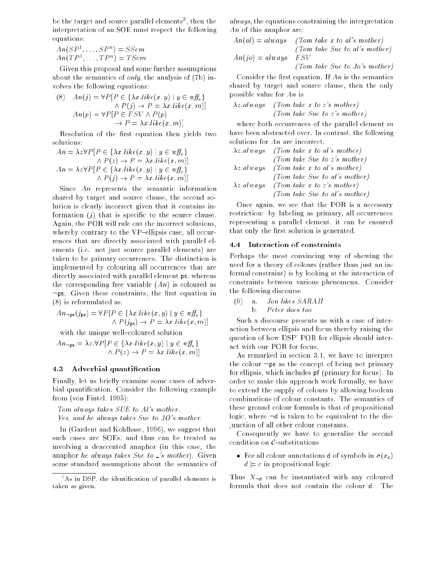be the target and source parallel elements", then the interpretation of an SOE must respect the following equations:

 $An(\mathcal{S}P^*, \ldots, \mathcal{S}P^*) = \mathcal{S}\mathcal{S}em$  $An (IF^{\dagger}, \ldots, IF^{\dagger}) = I$  Sem

Given this proposal and some further assumptions about the semantics of only, the analysis of (7b) involves the following equations:

(8) 
$$
An(j) = \forall P[P \in \{\lambda x \text{ like } (x, y) \mid y \in wff_e\} \land P(j) \to P = \lambda x \text{ like } (x, m)]
$$

$$
An(p) = \forall P[P \in FSV \land P(p) \to P = \lambda x \text{ like } (x, m)]
$$

Resolution of the first equation then yields two

$$
An = \lambda z \forall P [P \in \{\lambda x. like(x, y) \mid y \in w f \}_{\epsilon} \}
$$

$$
\land P(z) \rightarrow P = \lambda x. like(x, m)]
$$

$$
An = \lambda z \forall P [P \in \{\lambda x. like(x, y) \mid y \in w f \}_{\epsilon} \}
$$

$$
\land P(j) \rightarrow P = \lambda x. like(x, m)]
$$

Since An represents the semantic information shared by target and source clause, the second solution is clearly incorrect given that it contains information  $(i)$  that is specific to the source clause. Again, the POR will rule out the incorrect solutions, whereby contrary to the VP-ellipsis case, all occurrences that are directly associated with parallel elements (i.e. not just source parallel elements) are taken to be primary occurrences. The distinction is implemented by colouring all occurrences that are directly associated with parallel element ps, whereas the corresponding free variable  $(An)$  is coloured as  $\neg$ ps. Given these constraints, the first equation in (8) is reformulated as:

$$
An_{\neg \mathsf{ps}}(j_{\mathsf{ps}}) = \forall P \left[ P \in \{ \lambda x \text{.} like(x, y) \mid y \in \text{wff}_{e} \} \land P(j_{\mathsf{ps}}) \rightarrow P = \lambda x \text{.} like(x, m) \right]
$$

with the unique well-coloured solution

$$
An_{\neg ps} = \lambda z \cdot \forall P[P \in \{\lambda x \cdot like(x, y) \mid y \in w \mathcal{F}_e\} \land P(z) \rightarrow P = \lambda x \cdot like(x, m)]
$$

#### 4.3 Adverbial quantication

Finally, let us briefly examine some cases of adverbial quantication. Consider the following example from (von Fintel, 1995):

Tom always takes SUE to Al's mother.

Yes, and he always takes Sue to JO's mother.

In (Gardent and Kohlhase, 1996), we suggest that such cases are SOEs, and thus can be treated as involving a deaccented anaphor (in this case, the anaphor he always takes Sue to  $\leq s$  mother). Given some standard assumptions about the semantics of always, the equations constraining the interpretation An of this anaphor are:

$$
An(al) = always
$$
 (Tom take x to al's mother)  
(Tom take Sue to al's mother)  

$$
An(jo) = always
$$
 FSV  
(Tom take Sue to Jo's mother)

Consider the first equation. If  $An$  is the semantics shared by target and source clause, then the only possible value for An is

 $\lambda z$  always (Tom take x to z's mother) (Tom take Sue to z's mother)

where both occurrences of the parallel element  $m$ have been abstracted over. In contrast, the following solutions for An are incorrect.

|                    | $\lambda z$ always (Tom take x to al's mother) |
|--------------------|------------------------------------------------|
|                    | (Tom take Sue to z's mother)                   |
| $\lambda z$ always | (Tom take x to al's mother)                    |
|                    | (Tom take Sue to al's mother)                  |
| $\lambda z$ always | (Tom take x to z's mother)                     |
|                    | (Tom take Sue to al's mother)                  |

Once again, we see that the POR is a necessary restriction: by labeling as primary, all occurrences representing a parallel element, it can be ensured that only the first solution is generated.

#### 4.4 Interaction of constraints

Perhaps the most convincing way of showing the need for a theory of colours (rather than just an informal constraint) is by looking at the interaction of constraints between various phenomena. Consider the following discourse

(9) a. Jon likes SARAH b. Peter does too

Such a discourse presents us with a case of interaction between ellipsis and focus thereby raising the question of how DSP' POR for ellipsis should interact with our POR for focus.

As remarked in section 3.1, we have to interpret the colour  $\neg$ pe as the concept of being not primary for ellipsis, which includes pf (primary for focus). In order to make this approach work formally, we have to extend the supply of colours by allowing boolean combinations of colour constants. The semantics of these ground colour formula is that of propositional logic, where  $\neg d$  is taken to be equivalent to the disjunction of all other colour constants.

Consequently we have to generalize the second condition on C-substitutions

• For all colour annotations **d** of symbols in  $\sigma(x_c)$  $d \models c$  in propositional logic.

Thus  $X_{\neg d}$  can be instantiated with any coloured formula that does not contain the colour d. The

<sup>-</sup>As in DSP, the identification of parallel elements is taken as given.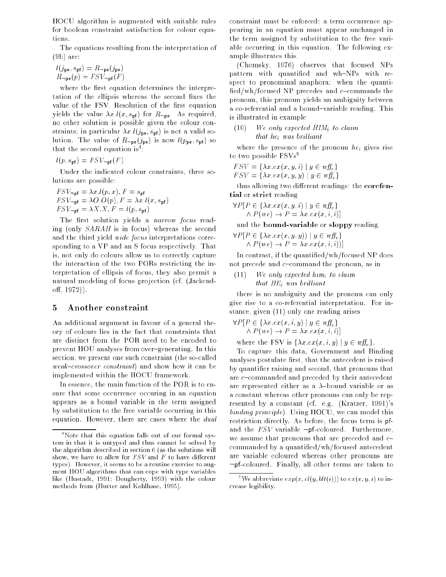HOCU algorithm is augmented with suitable rules for boolean constraint satisfaction for colour equations.

The equations resulting from the interpretation of (9b) are:

$$
l(j_{\mathbf{pe}}, s_{\mathbf{p}\mathbf{f}}) = R_{-\mathbf{pe}}(j_{\mathbf{pe}})
$$
  

$$
R_{-\mathbf{pe}}(p) = FSV_{-\mathbf{p}\mathbf{f}}(F)
$$

where the first equation determines the interpretation of the ellipsis whereas the second fixes the value of the FSV. Resolution of the first equation yields the value  $\lambda x.l(x, s_{\text{pf}})$  for  $R_{\text{pe}}$ . As required, no other solution is possible given the colour constraints; in particular  $\lambda x \cdot l(j_{\text{pe}}, s_{\text{pf}})$  is not a valid solution. The value of  $R_{\text{pe}}(j_{\text{pe}})$  is now  $l(p_{\text{pe}}, s_{\text{pf}})$  so that the second equation is :

 $l(p, s_{\text{pf}}) = FSV_{\text{pf}}(F)$ 

Under the indicated colour constraints, three solutions are possible:

$$
FSV_{\neg \mathbf{p} \mathbf{f}} = \lambda x.l(p, x), F = s_{\mathbf{p} \mathbf{f}}
$$
  
\n
$$
FSV_{\neg \mathbf{p} \mathbf{f}} = \lambda O.O(p), F = \lambda x.l(x, s_{\mathbf{p} \mathbf{f}})
$$
  
\n
$$
FSV_{\neg \mathbf{p} \mathbf{f}} = \lambda X.X, F = l(p, s_{\mathbf{p} \mathbf{f}})
$$

The first solution yields a narrow focus reading (only SARAH is in focus) whereas the second and the third yield wide focus interpretations corresponding to a VP and an S focus respectively. That is, not only do colours allow us to correctly capture the interaction of the two PORs restricting the interpretation of ellipsis of focus, they also permit a natural modeling of focus projection (cf. (Jackend- $\text{off}, 1972$ ).

#### $\mathbf{5}$ 5 Another constraint

An additional argument in favour of a general theory of colours lies in the fact that constraints that are distinct from the POR need to be encoded to prevent HOU analyses from over-generating. In this section, we present one such constraint (the so-called *weak-crossover constraint*) and show how it can be implemented within the HOCU framework.

In essence, the main function of the POR is to ensure that some occurrence occuring in an equation appears as a bound variable in the term assigned by substitution to the free variable occurring in this equation. However, there are cases where the dual constraint must be enforced: a term occurrence appearing in an equation must appear unchanged in the term assigned by substitution to the free variable occurring in this equation. The following example illustrates this.

(Chomsky, 1976) observes that focused NPs pattern with quantified and wh-NPs with respect to pronominal anaphora: when the quanti fied/wh/focused NP precedes and c $-$ commands the pronoun, this pronoun yields an ambiguity between a co-referential and a bound-variable reading. This is illustrated in example

### $(10)$  We only expected HIM<sub>i</sub> to claim that  $he_i$  was brilliant

where the presence of the pronoun  $he_i$  gives rise to two possible  $\text{FSVs}^5$ 

 $FSV = \{\lambda x \, ex(x, y, i) \mid y \in \textit{wff}_e\}$  $FSV = \{ \lambda x.ex(x, y, y) \mid y \in \mathit{wff}_e \}$ 

thus allowing two different readings: the corefential or strict reading

$$
\forall P \left[ P \in \{ \lambda x. ex(x, y, i) \mid y \in \text{wff}_{e} \} \land P(we) \rightarrow P = \lambda x. ex(x, i, i) \right]
$$

and the bound-variable or sloppy reading.

$$
\forall P[P \in \{ \lambda x. ex(x, y, y)) \mid y \in w \mathcal{H}_e \} \land P(we) \rightarrow P = \lambda x. ex(x, i, i))]
$$

In contrast, if the quantied/wh/focused NP does not precede and c-command the pronoun, as in

 $(11)$  We only expected him<sub>i</sub> to claim that  $HE_i$  was brilliant

there is no ambiguity and the pronoun can only give rise to a co-referential interpretation. For instance, given (11) only one reading arises

$$
\forall P \left[ P \in \{ \lambda x. ex(x, i, y) \mid y \in w \mathcal{F}_e \} \land P(we) \rightarrow P = \lambda x. ex(x, i, i) \right]
$$

where the FSV is  $\{\lambda x \cdot ex(x, i, y) \mid y \in wff_e\}$ .

To capture this data, Government and Binding analyses postulate first, that the antecedent is raised by quantier raising and second, that pronouns that are c-commanded and preceded by their antecedent are represented either as a  $\lambda$ -bound variable or as a constant whereas other pronouns can only be represented by a constant (cf. e.g. (Kratzer, 1991)'s binding principle). Using HOCU, we can model this restriction directly. As before, the focus term is pfand the  $FSV$  variable  $\neg$ pf-coloured. Furthermore, we assume that pronouns that are preceded and c{ commanded by a quantied/wh/focused antecedent are variable coloured whereas other pronouns are :pf-coloured. Finally, all other terms are taken to

<sup>4</sup> Note that this equation falls out of our formal system in that it is untyped and thus cannot be solved by the algorithm described in section 6 (as the solutions will show, we have to allow for  $FSV$  and F to have different types). However, it seems to be a routine exercise to augment HOU algorithms that can cope with type variables like (Hustadt, 1991; Dougherty, 1993) with the colour methods from (Hutter and Kohlhase, 1995).

<sup>&</sup>lt;sup>5</sup>We abbreviate  $exp(x, cl(y, blt(i)))$  to  $ex(x, y, i)$  to increase legibility.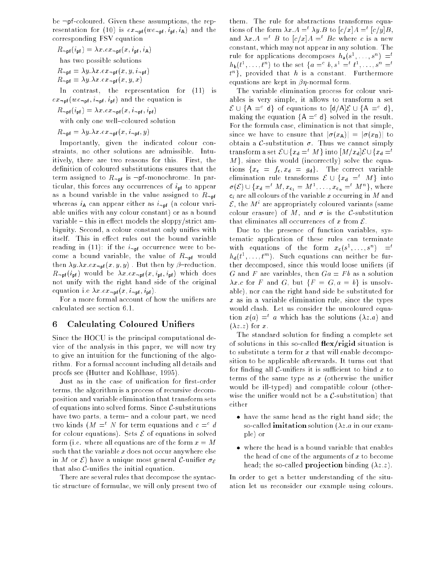be  $\neg$ pf-coloured. Given these assumptions, the representation for (10) is  $ex_{\text{pf}}(we_{\text{pf}}, i_{\text{pf}}, i_{\text{A}})$  and the corresponding FSV equation

 $R_{\text{not}} (i_{\text{pf}}) = \lambda x \cdot e x_{\text{not}} (x, i_{\text{pf}}, i_{\text{A}})$ has two possible solutions  $R_{\text{upf}} = \lambda y \cdot \lambda x \cdot e x_{\text{upf}} (x, y, i_{\text{upf}})$  $R_{\text{upf}} = \lambda y \cdot \lambda x \cdot e x_{\text{upf}}(x, y, x)$ 

In contrast, the representation for (11) is  $ex_{\text{p-f}}(we_{\text{p-f}}, i_{\text{pf}}, i_{\text{pf}})$  and the equation is

 $R_{\text{not}} (i_{\text{pf}}) = \lambda x . e x_{\text{not}} (x, i_{\text{not}}, i_{\text{pf}})$ 

with only one well-coloured solution

 $R_{\text{upf}} = \lambda y \cdot \lambda x \cdot e x_{\text{upf}}(x, i_{\text{upf}}, y)$ 

Importantly, given the indicated colour constraints, no other solutions are admissible. Intuitively, there are two reasons for this. First, the definition of coloured substitutions ensures that the term assigned to  $R_{\neg \text{pf}}$  is  $\neg \text{pf-monochrome}$ . In particular, this forces any occurrences of  $i_{pf}$  to appear as a bound variable in the value assigned to  $R_{\text{-pf}}$ whereas  $i_A$  can appear either as  $i_{\text{p}}$  (a colour variable unifies with any colour constant) or as a bound variable  $-$  this in effect models the sloppy/strict ambiguity. Second, a colour constant only unifies with itself. This in effect rules out the bound variable reading in (11): if the  $i_{\text{p}}$  occurrence were to become a bound variable, the value of  $R_{\text{upf}}$  would then  $\lambda y.\lambda x.ex_{\neg \mathbf{p}f}(x, y, y)$ . But then by  $\beta$ -reduction,  $R_{\text{ppf}}(i_{\text{pf}})$  would be  $\lambda x.ex_{\text{ppf}}(x, i_{\text{pf}}, i_{\text{pf}})$  which does not unify with the right hand side of the original equation i.e  $\lambda x.e.\, x_{\text{-pf}}(x, i_{\text{-pf}}, i_{\text{pf}})$ .

For a more formal account of how the unifiers are calculated see section 6.1.

#### 6 Calculating Coloured Unifiers

Since the HOCU is the principal computational device of the analysis in this paper, we will now try to give an intuition for the functioning of the algorithm. For a formal account including all details and proofs see (Hutter and Kohlhase, 1995).

Just as in the case of unification for first-order terms, the algorithm is a process of recursive decomposition and variable elimination that transform sets of equations into solved forms. Since  $C$ -substitutions have two parts, a term- and a colour part, we need two kinds ( $M \equiv M$  for term equations and  $c \equiv M$ for colour equations). Sets  $\mathcal E$  of equations in solved form (i.e. where all equations are of the form  $x = M$ such that the variable  $x$  does not occur anywhere else in M or  $\mathcal{E}$  have a unique most general C-unifier  $\sigma_{\mathcal{E}}$ that also  $\mathcal{C}$ -unifies the initial equation.

There are several rules that decompose the syntactic structure of formulae, we will only present two of them. The rule for abstractions transforms equations of the form  $\lambda x.A = \lambda y.B$  to  $|c/x|A = |c/y|B$ , and  $\lambda x.A =^t B$  to  $[c/x]A =^t Bc$  where c is a new constant, which may not appear in any solution. The rule for applications decomposes  $n_a(s^*, \ldots, s^*) =$  $n_{\mathbf{b}}(t^*, \ldots, t^n)$  to the set  $\{a = 0, s^* = t^*, \ldots, s^n = t^* \}$  $\iota$  , provided that  $n$  is a constant. Furthermore equations are kept in  $\beta\eta$ -normal form.

The variable elimination process for colour variables is very simple, it allows to transform a set  $\mathcal{E} \cup \{A =^c d\}$  of equations to  $\mathsf{d}/\mathsf{d}\mathcal{E} \cup \{A =^c d\}$ . making the equation  ${A =^c d}$  solved in the result. For the formula case, elimination is not that simple, since we have to ensure that  $|\sigma(x_A)| = |\sigma(x_B)|$  to obtain a C-substitution  $\sigma$ . Thus we cannot simply transform a set  $\mathcal{E} \cup \{x_{d} =t M\}$  into  $[M/x_{d}]\mathcal{E} \cup \{x_{d} =t$  $M$ , since this would (incorrectly) solve the equations  $\{x_c = f_c, x_d = g_d\}$ . The correct variable elimination rule transforms  $\mathcal{E} \cup \{x_{d} =t M\}$  into  $\sigma(\epsilon) \cup \{x_{\mathsf{d}} = M, x_{\mathsf{c}_1} = M^-, \ldots, x_{\mathsf{c}_n} = M^+\}$ , where  $c_i$  are all colours of the variable x occurring in  $M$  and  $\varepsilon$  , the  $M$  –are appropriately coloured variants (same colour erasure) of M, and  $\sigma$  is the C-substitution that eliminates all occurrences of x from  $\mathcal{E}$ .

Due to the presence of function variables, systematic application of these rules can terminate with equations of the form  $x_c(s^*, \ldots, s^*) = t$  $n_{\sf d}(t^{\sf -},\ldots,t^{\sf -} )$ . Such equations can neither be further decomposed, since this would loose unifiers (if G and F are variables, then  $Ga = Fb$  as a solution  $\lambda x.c$  for F and G, but  $\{F = G, a = b\}$  is unsolvable), nor can the right hand side be substituted for  $x$  as in a variable elimination rule, since the types would clash. Let us consider the uncoloured equation  $x(a) = a$  which has the solutions ( $\lambda z.a$ ) and  $(\lambda z. z)$  for x.

The standard solution for finding a complete set of solutions in this so-called  $flex/rigid$  situation is to substitute a term for  $x$  that will enable decomposition to be applicable afterwards. It turns out that for finding all  $\mathcal{C}$ -unifiers it is sufficient to bind x to terms of the same type as  $x$  (otherwise the unifier would be ill-typed) and compatible colour (otherwise the unifier would not be a  $C$ -substitution) that either

- have the same head as the right hand side; the so-called **imitation** solution  $(\lambda z.a)$  in our example) or
- the head of one of the arguments of  $x$  to become head; the so-called **projection** binding  $(\lambda z.z)$ .

In order to get a better understanding of the situation let us reconsider our example using colours.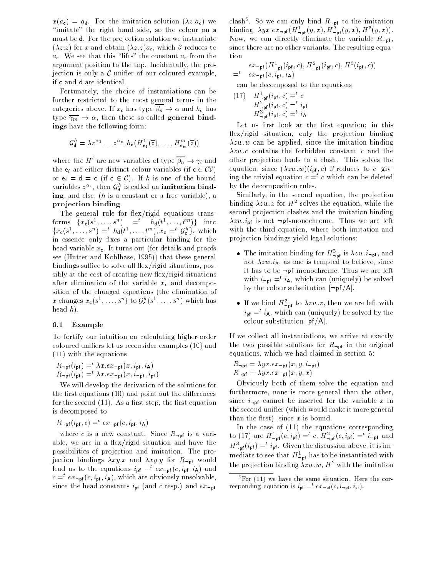$x(a_c) = a_d$ . For the imitation solution  $(\lambda z.a_d)$  we "imitate" the right hand side, so the colour on a must be d. For the projection solution we instantiate  $(\lambda z. z)$  for x and obtain  $(\lambda z. z) a_{c}$ , which  $\beta$ -reduces to  $a_c$ . We see that this "lifts" the constant  $a_c$  from the argument position to the top. Incidentally, the projection is only a  $\mathcal{C}$ -unifier of our coloured example, if <sup>c</sup> and d are identical.

Fortunately, the choice of instantiations can be further restricted to the most general terms in the categories above. If  $x_c$  has type  $\overline{\beta_n} \to \alpha$  and  $h_d$  has type  $\overline{\gamma_m} \to \alpha$ , then these so-called general bindings have the following form:

$$
\mathcal{G}_{\mathbf{d}}^{h} = \lambda z^{\alpha_{1}} \dots z^{\alpha_{n}} \cdot h_{\mathbf{d}}(H_{\mathbf{e}_{1}}^{1}(\overline{z}), \dots, H_{\mathbf{e}_{m}}^{m}(\overline{z}))
$$

where the  $H^+$  are new variables of type  $p_n \to \gamma_i$  and the  $e_i$  are either distinct colour variables (if  $c \in CV$ ) or  $e_i = d = c$  (if  $c \in C$ ). If h is one of the bound variables  $z^{-\alpha}$ , then  $\mathcal{G}_{\mathbf{d}}^{\alpha}$  is called an imitation binding, and else, (h is a constant or a free variable), a projection binding.

The general rule for  $flex/rigid$  equations trans- $\{x_{c}(s^{\dagger},...,s^{\dagger}) = n_{d}(t^{\dagger},...,t^{\dagger})\}$  into  $\{x_{c}(s^{-},...,s^{-}) = h_{d}(t^{-},...,t^{-})$ ,  $x_{c} = g_{c} \}$ , which in essence only fixes a particular binding for the head variable  $x_c$ . It turns out (for details and proofs see (Hutter and Kohlhase, 1995)) that these general bindings suffice to solve all  $flex/rigid$  situations, possibly at the cost of creating new flex/rigid situations after elimination of the variable  $x_c$  and decomposition of the changed equations (the elimination of x changes  $x_{\mathsf{c}}(s^{-},\ldots,s^{+})$  to  $\mathsf{y}_{\mathsf{c}}^{+}(s^{-},\ldots,s^{+})$  which has head  $h$ ).

#### 6.1 Example

To fortify our intuition on calculating higher-order coloured uniers let us reconsider examples (10) and (11) with the equations

 $R_{\text{up}}(i_{\text{pf}}) = \lambda x \cdot e x_{\text{up}}(x, i_{\text{pf}}, i_{\text{A}})$  $R_{\text{up}}$ f ( $i_{\text{pf}}$  ) =  $\lambda x$  e $x_{\text{up}}$ f ( $x$ ,  $i_{\text{up}}$ f,  $i_{\text{pf}}$ )

We will develop the derivation of the solutions for the first equations  $(10)$  and point out the differences for the second  $(11)$ . As a first step, the first equation is decomposed to

$$
R_{\neg \mathsf{pf}}(i_{\mathsf{pf}}, c) =^t e x_{\neg \mathsf{pf}}(c, i_{\mathsf{pf}}, i_{\mathsf{A}})
$$

where c is a new constant. Since  $R_{\text{-pf}}$  is a variable, we are in a flex/rigid situation and have the possibilities of projection and imitation. The projection bindings  $\lambda xy.x$  and  $\lambda xy.y$  for  $R_{\text{up}}$  would lead us to the equations  $i_{\sf pf} \equiv e x_{\sf -pf}(c, i_{\sf pf}, i_{\sf A})$  and  $c = \epsilon x_{\neg \mathsf{p}\mathsf{f}}(c, \imath_{\mathsf{p}\mathsf{f}}, \imath_{\mathsf{A}})$ , which are obviously unsolvable, since the head constants  $i_{\sf pf}$  (and c resp.) and  $ex_{\sf -pf}$ 

clash°. So we can only bind  $R_{\neg \textsf{pf}}$  to the imitation binding  $\lambda yx.\text{ex}_{\neg \text{pf}}(H_{\neg \text{pf}}(y,x), H_{\neg \text{pf}}(y,x), H^{\neg}(y,x)).$ Now, we can directly eliminate the variable  $R_{\text{-pf}}$ , since there are no other variants. The resulting equation

$$
= e x_{\text{ppf}}(H_{\text{ppf}}^1(i_{\text{pf}}, c), H_{\text{ppf}}^2(i_{\text{pf}}, c), H^3(i_{\text{pf}}, c))
$$
  
=  $e x_{\text{ppf}}(c, i_{\text{pf}}, i_{\text{A}})$ 

can be decomposed to the equations

(17) 
$$
H_{\text{-pf}}^{1} (i_{\text{pf}}, c) = t \ c
$$

$$
H_{\text{-pf}}^{2} (i_{\text{pf}}, c) = t \ i_{\text{pf}}
$$

$$
H_{\text{-pf}}^{3} (i_{\text{pf}}, c) = t \ i_{\text{A}}
$$

Let us first look at the first equation; in this flex/rigid situation, only the projection binding  $\lambda zw.w$  can be applied, since the imitation binding  $\lambda zw.c$  contains the forbidden constant c and the other projection leads to a clash. This solves the equation, since  $(\lambda zw.w)(i_{\text{pf}}, c)$   $\beta$ -reduces to c, giving the trivial equation  $c = \infty$  which can be deleted by the decomposition rules.

Similarly, in the second equation, the projection binding  $\lambda zw.z$  for  $H^-$  solves the equation, while the second projection clashes and the imitation binding  $\lambda zw.i_{\rm pf}$  is not  $\neg$ pf-monochrome. Thus we are left with the third equation, where both imitation and projection bindings yield legal solutions:

- The imitation binding for  $\pi_{\neg \mathsf{p}\mathsf{f}}^{-}$  is  $\lambda zw.t._{\neg \mathsf{p}\mathsf{f}}$ , and not  $\lambda zw.i_A$ , as one is tempted to believe, since it has to be  $\neg p$ f-monochrome. Thus we are left with  $i_{\neg \mathsf{pf}} = i_{\mathsf{A}},$  which can (uniquely) be solved by the colour substitution  $[\neg pf/A]$ .
- $\bullet$  II we bind  $H^-_{\neg \text{pf}}$  to  $\lambda zw.z$ , then we are left with  $i_{\sf pf}$   $\equiv$   $i_{\sf A}$ , which can (uniquely) be solved by the colour substitution  $[pf/A]$ .

If we collect all instantiations, we arrive at exactly the two possible solutions for  $R_{\text{not}}$  in the original equations, which we had claimed in section 5:

$$
R_{\neg \mathsf{pf}} = \lambda y x . e x_{\neg \mathsf{pf}}(x, y, i_{\neg \mathsf{pf}})
$$

$$
R_{\neg \mathsf{pf}} = \lambda y x . e x_{\neg \mathsf{pf}}(x, y, x)
$$

Obviously both of them solve the equation and furthermore, none is more general than the other, since  $i_{\text{pif}}$  cannot be inserted for the variable x in the second unier (which would make it more general than the first), since  $x$  is bound.

In the case of (11) the equations corresponding to (1*i*) are  $H_{\neg \text{pf}}(c, i_{\text{pf}}) = c, H_{\neg \text{pf}}(c, i_{\text{pf}}) = i_{\neg \text{pf}}$  and  $H_{\neg \mathsf{pf}}(i_{\mathsf{pf}}) =: i_{\mathsf{pf}}$ . Given the discussion above, it is immediate to see that  $H^-_{\neg \mathsf{pf}}$  has to be instantiated with the projection binding  $\lambda zw.w$ ,  $H^-$  with the imitation

<sup>6</sup> For (11) we have the same situation. Here the corresponding equation is  $i_{\text{pf}} = \varepsilon x_{\text{negf}}(c, i_{\text{negf}}, i_{\text{pf}})$ .